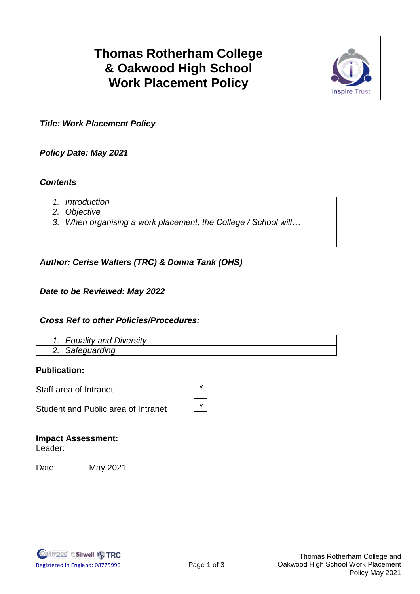# **Thomas Rotherham College & Oakwood High School Work Placement Policy**



*Title: Work Placement Policy*

*Policy Date: May 2021*

## *Contents*

|  | 1. Introduction                                                |
|--|----------------------------------------------------------------|
|  | 2. Objective                                                   |
|  | 3. When organising a work placement, the College / School will |
|  |                                                                |
|  |                                                                |

*Author: Cerise Walters (TRC) & Donna Tank (OHS)*

## *Date to be Reviewed: May 2022*

## *Cross Ref to other Policies/Procedures:*

| 1. Equality and Diversity |
|---------------------------|
| Safeguarding              |

## **Publication:**

Staff area of Intranet

 $\Gamma$ ┑

Student and Public area of Intranet

## **Impact Assessment:**

Leader:

Date: May 2021

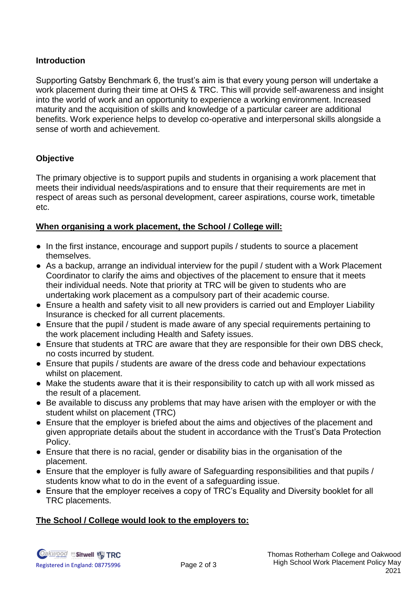## **Introduction**

Supporting Gatsby Benchmark 6, the trust's aim is that every young person will undertake a work placement during their time at OHS & TRC. This will provide self-awareness and insight into the world of work and an opportunity to experience a working environment. Increased maturity and the acquisition of skills and knowledge of a particular career are additional benefits. Work experience helps to develop co-operative and interpersonal skills alongside a sense of worth and achievement.

# **Objective**

The primary objective is to support pupils and students in organising a work placement that meets their individual needs/aspirations and to ensure that their requirements are met in respect of areas such as personal development, career aspirations, course work, timetable etc.

# **When organising a work placement, the School / College will:**

- In the first instance, encourage and support pupils / students to source a placement themselves.
- As a backup, arrange an individual interview for the pupil / student with a Work Placement Coordinator to clarify the aims and objectives of the placement to ensure that it meets their individual needs. Note that priority at TRC will be given to students who are undertaking work placement as a compulsory part of their academic course.
- Ensure a health and safety visit to all new providers is carried out and Employer Liability Insurance is checked for all current placements.
- Ensure that the pupil / student is made aware of any special requirements pertaining to the work placement including Health and Safety issues.
- Ensure that students at TRC are aware that they are responsible for their own DBS check, no costs incurred by student.
- Ensure that pupils / students are aware of the dress code and behaviour expectations whilst on placement.
- Make the students aware that it is their responsibility to catch up with all work missed as the result of a placement.
- Be available to discuss any problems that may have arisen with the employer or with the student whilst on placement (TRC)
- Ensure that the employer is briefed about the aims and objectives of the placement and given appropriate details about the student in accordance with the Trust's Data Protection Policy.
- Ensure that there is no racial, gender or disability bias in the organisation of the placement.
- Ensure that the employer is fully aware of Safeguarding responsibilities and that pupils / students know what to do in the event of a safeguarding issue.
- Ensure that the employer receives a copy of TRC's Equality and Diversity booklet for all TRC placements.

## **The School / College would look to the employers to:**